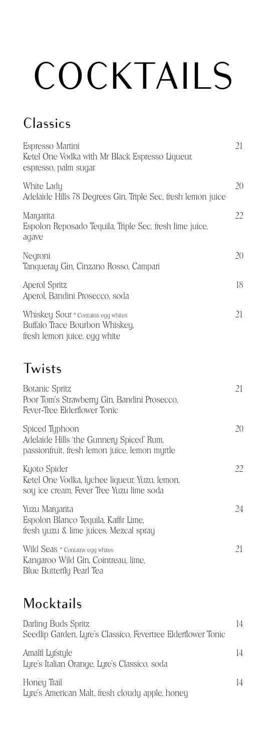# COCKTAILS

#### Classics

| Espresso Martini<br>Ketel One Vodka with Mr Black Espresso Liqueur,<br>espresso, palm sugar                 | 21 |
|-------------------------------------------------------------------------------------------------------------|----|
| White Lady<br>Adelaide Hills 78 Degrees Gin, Triple Sec, fresh lemon juice                                  | 20 |
| Margarita<br>Espolon Reposado Tequila, Triple Sec, fresh lime juice,<br>agave                               | 22 |
| Negroni<br>Tanqueray Gin, Cinzano Rosso, Campari                                                            | 20 |
| Aperol Spritz<br>Aperol, Bandini Prosecco, soda                                                             | 18 |
| Whiskey Sour * Contains egg whites<br>Buffalo Trace Bourbon Whiskey,<br>fresh lemon juice, egg white        | 21 |
| Twists                                                                                                      |    |
| <b>Botanic Spritz</b><br>Poor Tom's Strawberry Gin, Bandini Prosecco,<br>Fever-Tree Elderflower Tonic       | 21 |
| Spiced Typhoon<br>Adelaide Hills 'the Gunnery Spiced' Rum,<br>passionfruit, fresh lemon juice, lemon myrtle | 20 |
| Kyoto Spider<br>Ketel One Vodka, lychee liqueur, Yuzu, lemon,<br>soy ice cream, Fever Tree Yuzu lime soda   | 22 |
| Yuzu Margarita<br>Espolon Blanco Tequila, Kaffir Lime,<br>fresh yuzu & lime juices, Mezcal spray            | 24 |
| Wild Seas * Contains egg whites<br>Kangaroo Wild Gin, Cointreau, lime,<br>Blue Butterfly Pearl Tea          | 21 |

#### Mocktails

| Darling Buds Spritz<br>Seedlip Garden, Lyre's Classico, Fevertree Elderflower Tonic | 14 |
|-------------------------------------------------------------------------------------|----|
| Amalfi Lyfstyle<br>Lyre's Italian Orange, Lyre's Classico, soda                     | 14 |
| Honey Trail<br>Lyre's American Malt, fresh cloudy apple, honey                      | 14 |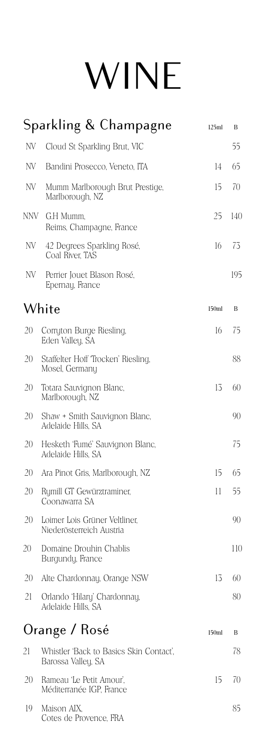### WINE

|     | Sparkling & Champagne                                         | 125ml | B   |
|-----|---------------------------------------------------------------|-------|-----|
| NV  | Cloud St Sparkling Brut, VIC                                  |       | 55  |
| NV  | Bandini Prosecco, Veneto, ITA                                 | 14    | 65  |
| NV  | Mumm Marlborough Brut Prestige,<br>Marlborough, NZ            | 15    | 70  |
| NNV | G.H Mumm,<br>Reims, Champagne, France                         | 25    | 140 |
| NV  | 42 Degrees Sparkling Rosé,<br>Coal River, TAS                 | 16    | 73  |
| NV  | Perrier Jouet Blason Rosé,<br>Epernay, France                 |       | 195 |
|     | White                                                         | 150ml | B   |
| 20  | Corryton Burge Riesling,<br>Eden Valley, SA                   | 16    | 75  |
| 20  | Staffelter Hoff Trocken' Riesling,<br>Mosel, Germany          |       | 88  |
| 20  | Totara Sauvignon Blanc,<br>Marlborough, NZ                    | 13    | 60  |
| 20  | Shaw + Smith Sauvignon Blanc,<br>Adelaide Hills, SA           |       | 90  |
| 20  | Hesketh 'Fumé' Sauvignon Blanc,<br>Adelaide Hills, SA         |       | 75  |
| 20  | Ara Pinot Gris, Marlborough, NZ                               | 15    | 65  |
| 20  | Rumill GT Gewürztraminer,<br>Coonawarra SA                    | 11    | 55  |
| 20  | Loimer Lois Grüner Veltliner,<br>Niederösterreich Austria     |       | 90  |
| 20  | Domaine Drouhin Chablis<br>Burgundy, France                   |       | 110 |
| 20  | Alte Chardonnay, Orange NSW                                   | 13    | 60  |
| 21  | Orlando 'Hilary' Chardonnay,<br>Adelaide Hills, SA            |       | 80  |
|     | Orange / Rosé                                                 | 150ml | В   |
| 21  | Whistler 'Back to Basics Skin Contact',<br>Barossa Valley, SA |       | 78  |
| 20  | Rameau 'Le Petit Amour',<br>Méditerranée IGP, France          | 15    | 70  |
| 19  | Maison AIX,<br>Cotes de Provence, FRA                         |       | 85  |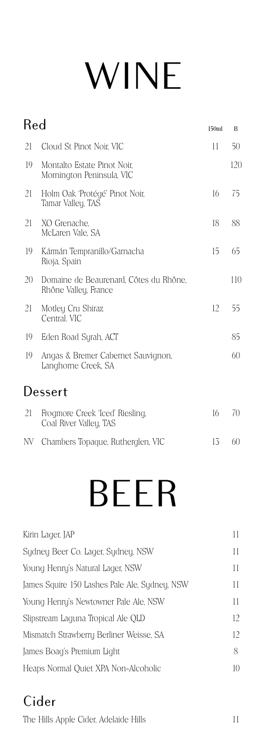### WINE

| Red |                                                                |    | B   |
|-----|----------------------------------------------------------------|----|-----|
| 21  | Cloud St Pinot Noir, VIC                                       | 11 | 50  |
| 19  | Montalto Estate Pinot Noir,<br>Mornington Peninsula, VIC       |    | 120 |
| 21  | Holm Oak 'Protégé' Pinot Noir,<br>Tamar Valley, TAS            | 16 | 75  |
| 21  | XO Grenache,<br>McLaren Vale, SA                               | 18 | 88  |
| 19  | Kármán Tempranillo/Garnacha<br>Rioja, Spain                    | 15 | 65  |
| 20  | Domaine de Beaurenard, Côtes du Rhône,<br>Rhône Valley, France |    | 110 |
| 21  | Motley Cru Shiraz<br>Central. VIC                              | 12 | 55  |
| 19  | Eden Road Syrah, ACT                                           |    | 85  |
| 19  | Angas & Bremer Cabernet Sauvignon,<br>Langhorne Creek, SA      |    | 60  |
|     | Dessert                                                        |    |     |
| 21  | Frogmore Creek 'Iced' Riesling,<br>Coal River Valley, TAS      | 16 | 70  |
| NV. | Chambers Topaque, Rutherglen, VIC                              | 13 | 60  |

### BEER

| Н            |
|--------------|
| 11           |
| $\mathbf{1}$ |
| 11           |
| 11           |
| 12           |
| 12           |
| 8            |
| 10           |
|              |

#### Cider

The Hills Apple Cider, Adelaide Hills 11